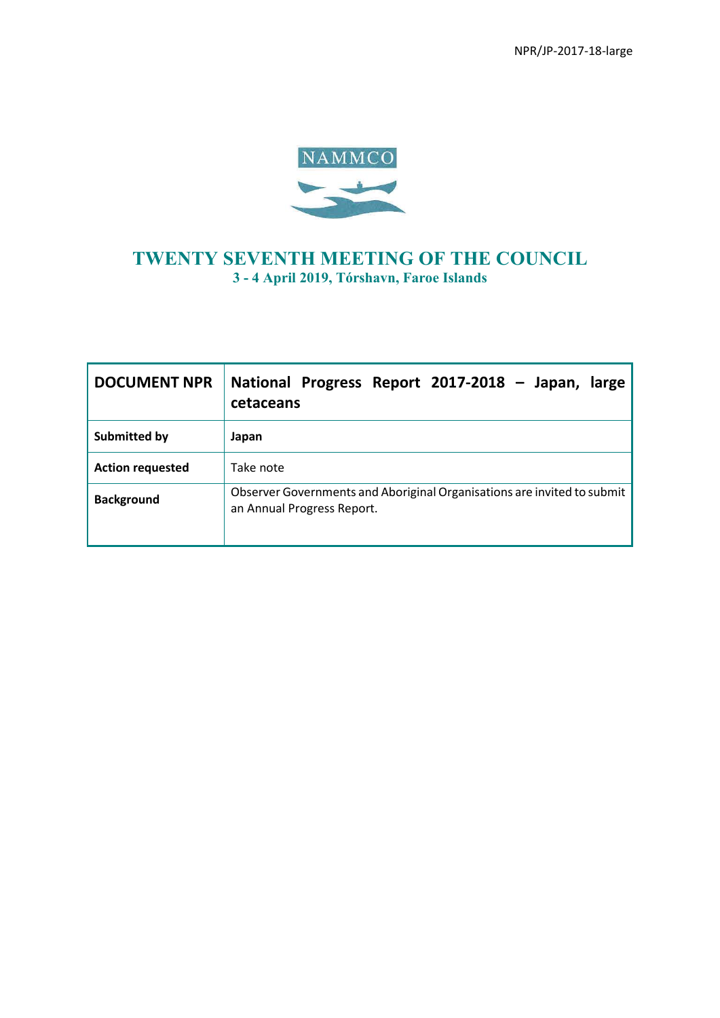

## **TWENTY SEVENTH MEETING OF THE COUNCIL 3 - 4 April 2019, Tórshavn, Faroe Islands**

| <b>DOCUMENT NPR</b>     | National Progress Report 2017-2018 - Japan,<br>large<br>cetaceans                                     |
|-------------------------|-------------------------------------------------------------------------------------------------------|
| Submitted by            | Japan                                                                                                 |
| <b>Action requested</b> | Take note                                                                                             |
| <b>Background</b>       | Observer Governments and Aboriginal Organisations are invited to submit<br>an Annual Progress Report. |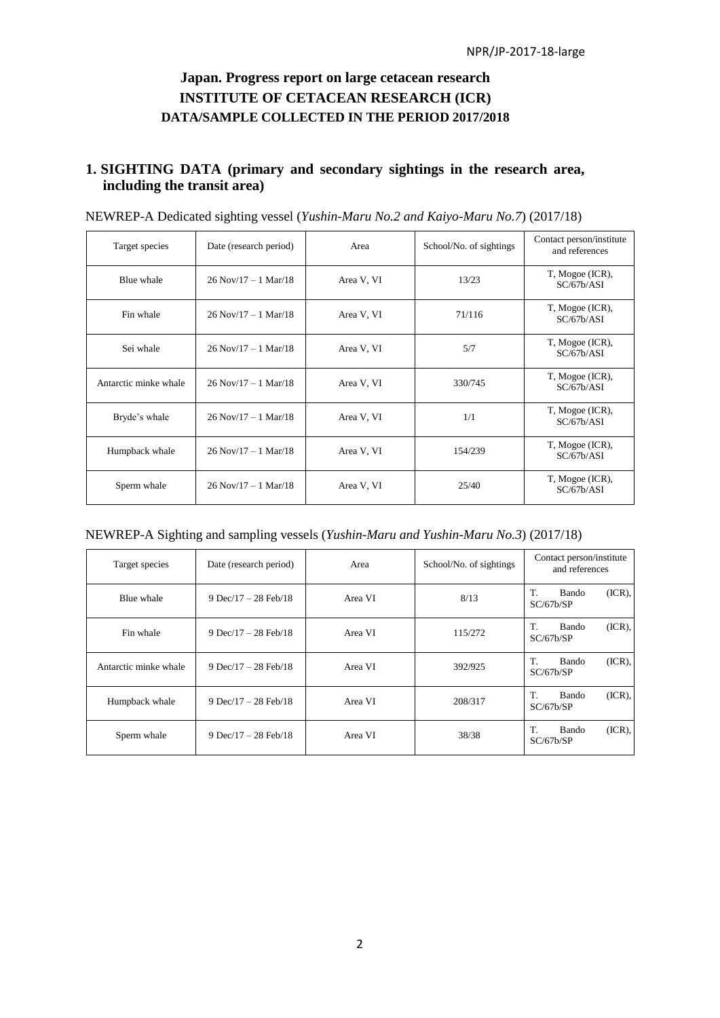## **Japan. Progress report on large cetacean research INSTITUTE OF CETACEAN RESEARCH (ICR) DATA/SAMPLE COLLECTED IN THE PERIOD 2017/2018**

## **1. SIGHTING DATA (primary and secondary sightings in the research area, including the transit area)**

| Target species        | Date (research period) | Area       | School/No. of sightings | Contact person/institute<br>and references |
|-----------------------|------------------------|------------|-------------------------|--------------------------------------------|
| Blue whale            | $26$ Nov/17 – 1 Mar/18 | Area V, VI | 13/23                   | T, Mogoe (ICR),<br>SC/67b/ASI              |
| Fin whale             | $26$ Nov/17 – 1 Mar/18 | Area V, VI | 71/116                  | T, Mogoe (ICR),<br>SC/67b/ASI              |
| Sei whale             | $26$ Nov/17 – 1 Mar/18 | Area V, VI | 5/7                     | T, Mogoe (ICR),<br>SC/67b/ASI              |
| Antarctic minke whale | $26$ Nov/17 – 1 Mar/18 | Area V, VI | 330/745                 | T, Mogoe (ICR),<br>SC/67b/ASI              |
| Bryde's whale         | $26$ Nov/17 – 1 Mar/18 | Area V, VI | 1/1                     | T, Mogoe (ICR),<br>SC/67b/ASI              |
| Humpback whale        | $26$ Nov/17 – 1 Mar/18 | Area V, VI | 154/239                 | T, Mogoe (ICR),<br>SC/67b/ASI              |
| Sperm whale           | $26$ Nov/17 – 1 Mar/18 | Area V, VI | 25/40                   | T, Mogoe (ICR),<br>SC/67b/ASI              |

| NEWREP-A Dedicated sighting vessel (Yushin-Maru No.2 and Kaiyo-Maru No.7) (2017/18) |  |  |
|-------------------------------------------------------------------------------------|--|--|
|-------------------------------------------------------------------------------------|--|--|

|  | NEWREP-A Sighting and sampling vessels (Yushin-Maru and Yushin-Maru No.3) (2017/18) |
|--|-------------------------------------------------------------------------------------|
|--|-------------------------------------------------------------------------------------|

| Target species        | Date (research period) | Area    | School/No. of sightings | Contact person/institute<br>and references |
|-----------------------|------------------------|---------|-------------------------|--------------------------------------------|
| Blue whale            | 9 Dec/17 – 28 Feb/18   | Area VI | 8/13                    | $(ICR)$ ,<br>T.<br>Bando<br>SC/67b/SP      |
| Fin whale             | 9 Dec/17 – 28 Feb/18   | Area VI | 115/272                 | $(ICR)$ ,<br>T.<br>Bando<br>SC/67b/SP      |
| Antarctic minke whale | 9 Dec/17 – 28 Feb/18   | Area VI | 392/925                 | $(ICR)$ ,<br>Bando<br>T.<br>SC/67b/SP      |
| Humpback whale        | 9 Dec/17 – 28 Feb/18   | Area VI | 208/317                 | $(ICR)$ ,<br>T.<br>Bando<br>SC/67b/SP      |
| Sperm whale           | 9 Dec/17 – 28 Feb/18   | Area VI | 38/38                   | $(ICR)$ ,<br>T.<br>Bando<br>SC/67b/SP      |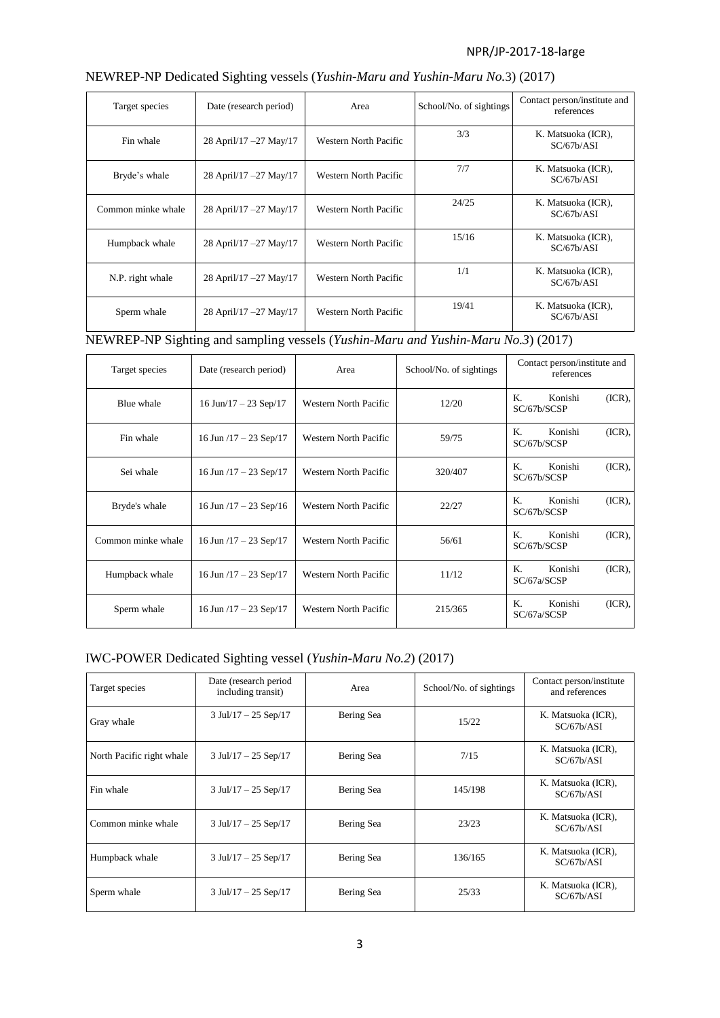| Target species     | Date (research period)  | Area                         | School/No. of sightings | Contact person/institute and<br>references |
|--------------------|-------------------------|------------------------------|-------------------------|--------------------------------------------|
| Fin whale          | 28 April/17 - 27 May/17 | Western North Pacific        | 3/3                     | K. Matsuoka (ICR),<br>SC/67b/ASI           |
| Bryde's whale      | 28 April/17 - 27 May/17 | <b>Western North Pacific</b> | 7/7                     | K. Matsuoka (ICR),<br>SC/67b/ASI           |
| Common minke whale | 28 April/17 - 27 May/17 | Western North Pacific        | 24/25                   | K. Matsuoka (ICR),<br>SC/67b/ASI           |
| Humpback whale     | 28 April/17 - 27 May/17 | <b>Western North Pacific</b> | 15/16                   | K. Matsuoka (ICR),<br>SC/67b/ASI           |
| N.P. right whale   | 28 April/17 - 27 May/17 | Western North Pacific        | 1/1                     | K. Matsuoka (ICR),<br>SC/67b/ASI           |
| Sperm whale        | 28 April/17 - 27 May/17 | Western North Pacific        | 19/41                   | K. Matsuoka (ICR),<br>SC/67b/ASI           |

# NEWREP-NP Dedicated Sighting vessels (*Yushin-Maru and Yushin-Maru No.*3) (2017)

NEWREP-NP Sighting and sampling vessels (*Yushin-Maru and Yushin-Maru No.3*) (2017)

| Target species     | Date (research period)      | Area                         | School/No. of sightings | Contact person/institute and<br>references |
|--------------------|-----------------------------|------------------------------|-------------------------|--------------------------------------------|
| Blue whale         | 16 Jun/17 – 23 Sep/17       | <b>Western North Pacific</b> | 12/20                   | K.<br>Konishi<br>$(ICR)$ ,<br>SC/67b/SCSP  |
| Fin whale          | 16 Jun $/17 - 23$ Sep $/17$ | Western North Pacific        | 59/75                   | K.<br>Konishi<br>$(ICR)$ ,<br>SC/67b/SCSP  |
| Sei whale          | 16 Jun $/17 - 23$ Sep $/17$ | <b>Western North Pacific</b> | 320/407                 | $(ICR)$ ,<br>Konishi<br>К.<br>SC/67b/SCSP  |
| Bryde's whale      | 16 Jun $/17 - 23$ Sep $/16$ | <b>Western North Pacific</b> | 22/27                   | K.<br>$(ICR)$ ,<br>Konishi<br>SC/67b/SCSP  |
| Common minke whale | 16 Jun $/17 - 23$ Sep $/17$ | <b>Western North Pacific</b> | 56/61                   | Konishi<br>$(ICR)$ ,<br>К.<br>SC/67b/SCSP  |
| Humpback whale     | 16 Jun $/17 - 23$ Sep $/17$ | Western North Pacific        | 11/12                   | K.<br>Konishi<br>$(ICR)$ ,<br>SC/67a/SCSP  |
| Sperm whale        | 16 Jun $/17 - 23$ Sep $/17$ | <b>Western North Pacific</b> | 215/365                 | Konishi<br>Κ.<br>$(ICR)$ ,<br>SC/67a/SCSP  |

## IWC-POWER Dedicated Sighting vessel (*Yushin-Maru No.2*) (2017)

| Target species            | Date (research period<br>including transit) | Area       | School/No. of sightings | Contact person/institute<br>and references |
|---------------------------|---------------------------------------------|------------|-------------------------|--------------------------------------------|
| Gray whale                | $3$ Jul/17 - 25 Sep/17                      | Bering Sea | 15/22                   | K. Matsuoka (ICR),<br>SC/67b/ASI           |
| North Pacific right whale | $3$ Jul/17 - 25 Sep/17                      | Bering Sea | 7/15                    | K. Matsuoka (ICR),<br>SC/67b/ASI           |
| Fin whale                 | $3$ Jul/17 – 25 Sep/17                      | Bering Sea | 145/198                 | K. Matsuoka (ICR),<br>SC/67b/ASI           |
| Common minke whale        | $3$ Jul/17 – 25 Sep/17                      | Bering Sea | 23/23                   | K. Matsuoka (ICR),<br>SC/67b/ASI           |
| Humpback whale            | $3$ Jul/17 – 25 Sep/17                      | Bering Sea | 136/165                 | K. Matsuoka (ICR),<br>SC/67b/ASI           |
| Sperm whale               | $3$ Jul/17 – 25 Sep/17                      | Bering Sea | 25/33                   | K. Matsuoka (ICR),<br>SC/67b/ASI           |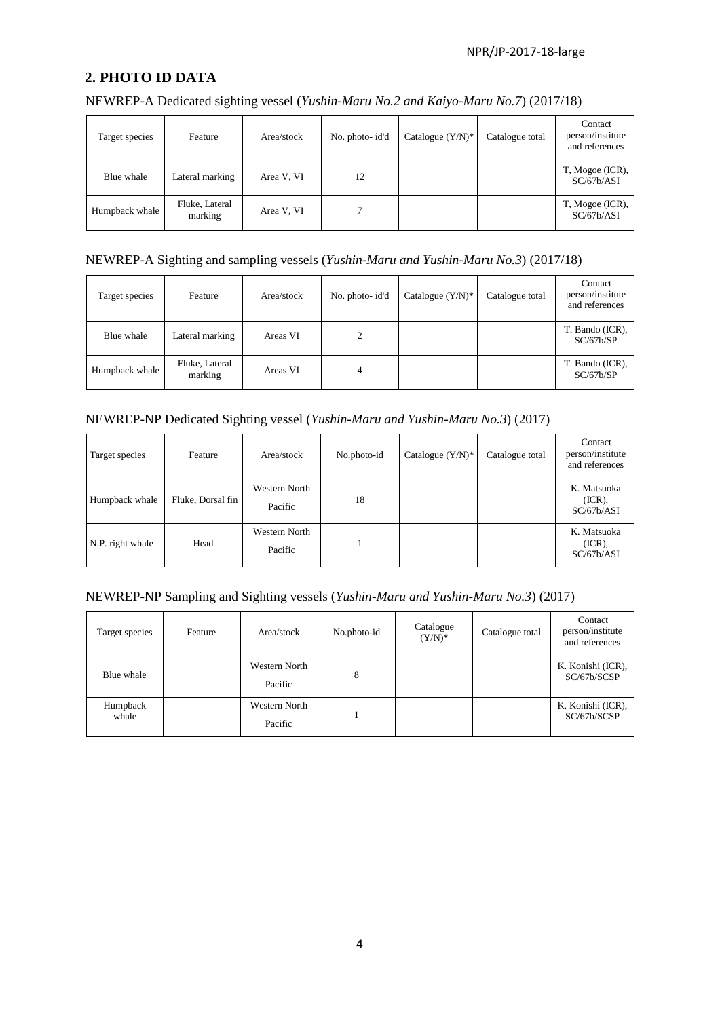## **2. PHOTO ID DATA**

NEWREP-A Dedicated sighting vessel (*Yushin-Maru No.2 and Kaiyo-Maru No.7*) (2017/18)

| Target species | Feature                   | Area/stock | No. photo-id'd | Catalogue $(Y/N)^*$ | Catalogue total | Contact<br>person/institute<br>and references |
|----------------|---------------------------|------------|----------------|---------------------|-----------------|-----------------------------------------------|
| Blue whale     | Lateral marking           | Area V, VI | 12             |                     |                 | T, Mogoe (ICR),<br>SC/67b/ASI                 |
| Humpback whale | Fluke, Lateral<br>marking | Area V, VI |                |                     |                 | T, Mogoe (ICR),<br>SC/67b/ASI                 |

#### NEWREP-A Sighting and sampling vessels (*Yushin-Maru and Yushin-Maru No.3*) (2017/18)

| Target species | Feature                   | Area/stock | No. photo-id'd | Catalogue $(Y/N)^*$ | Catalogue total | Contact<br>person/institute<br>and references |
|----------------|---------------------------|------------|----------------|---------------------|-----------------|-----------------------------------------------|
| Blue whale     | Lateral marking           | Areas VI   |                |                     |                 | T. Bando (ICR),<br>SC/67b/SP                  |
| Humpback whale | Fluke, Lateral<br>marking | Areas VI   | 4              |                     |                 | T. Bando (ICR),<br>SC/67b/SP                  |

## NEWREP-NP Dedicated Sighting vessel (*Yushin-Maru and Yushin-Maru No.3*) (2017)

| Target species   | Feature           | Area/stock               | No.photo-id | Catalogue $(Y/N)^*$ | Catalogue total | Contact<br>person/institute<br>and references |
|------------------|-------------------|--------------------------|-------------|---------------------|-----------------|-----------------------------------------------|
| Humpback whale   | Fluke, Dorsal fin | Western North<br>Pacific | 18          |                     |                 | K. Matsuoka<br>$(ICR)$ ,<br>SC/67b/ASI        |
| N.P. right whale | Head              | Western North<br>Pacific |             |                     |                 | K. Matsuoka<br>$(ICR)$ ,<br>SC/67b/ASI        |

#### NEWREP-NP Sampling and Sighting vessels (*Yushin-Maru and Yushin-Maru No.3*) (2017)

| Target species    | Feature | Area/stock               | No.photo-id | Catalogue<br>$(Y/N)^*$ | Catalogue total | Contact<br>person/institute<br>and references |
|-------------------|---------|--------------------------|-------------|------------------------|-----------------|-----------------------------------------------|
| Blue whale        |         | Western North<br>Pacific | 8           |                        |                 | K. Konishi (ICR),<br>SC/67b/SCSP              |
| Humpback<br>whale |         | Western North<br>Pacific |             |                        |                 | K. Konishi (ICR),<br>SC/67b/SCSP              |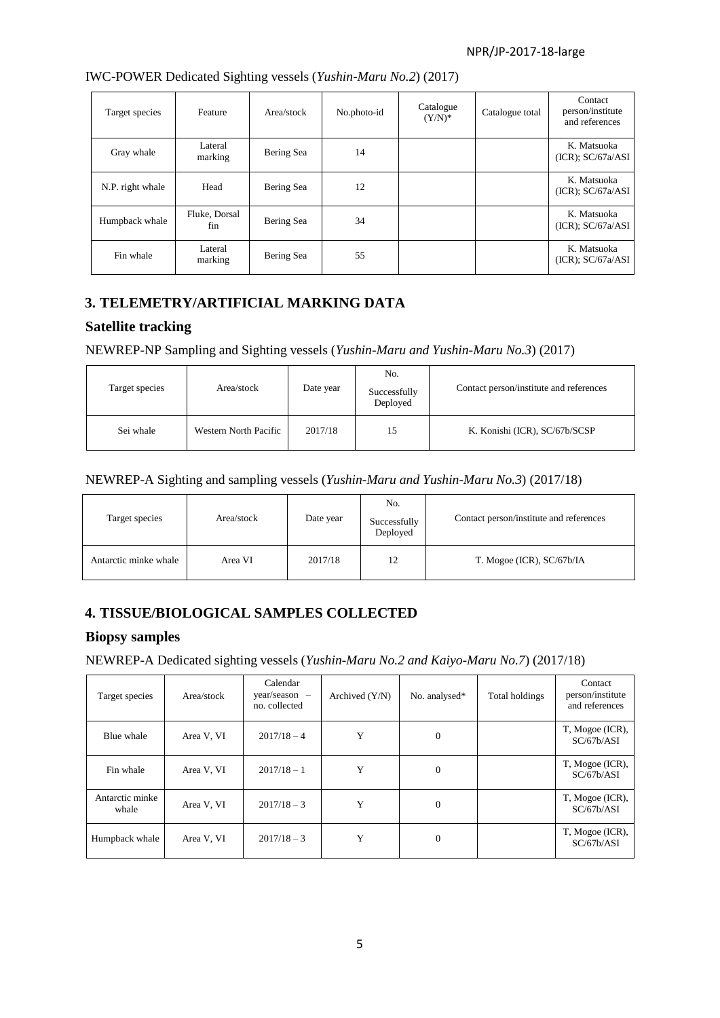| Target species   | Feature              | Area/stock | No.photo-id | Catalogue<br>$(Y/N)^*$ | Catalogue total | Contact<br>person/institute<br>and references |
|------------------|----------------------|------------|-------------|------------------------|-----------------|-----------------------------------------------|
| Gray whale       | Lateral<br>marking   | Bering Sea | 14          |                        |                 | K. Matsuoka<br>(ICR); SC/67a/ASI              |
| N.P. right whale | Head                 | Bering Sea | 12          |                        |                 | K. Matsuoka<br>$(ICR)$ ; $SC/67a/ASI$         |
| Humpback whale   | Fluke, Dorsal<br>fin | Bering Sea | 34          |                        |                 | K. Matsuoka<br>(ICR); SC/67a/ASI              |
| Fin whale        | Lateral<br>marking   | Bering Sea | 55          |                        |                 | K. Matsuoka<br>$(ICR)$ ; $SC/67a/ASI$         |

IWC-POWER Dedicated Sighting vessels (*Yushin-Maru No.2*) (2017)

## **3. TELEMETRY/ARTIFICIAL MARKING DATA**

### **Satellite tracking**

NEWREP-NP Sampling and Sighting vessels (*Yushin-Maru and Yushin-Maru No.3*) (2017)

| Target species | Area/stock            | Date year | No.<br>Successfully<br>Deployed | Contact person/institute and references |
|----------------|-----------------------|-----------|---------------------------------|-----------------------------------------|
| Sei whale      | Western North Pacific | 2017/18   | 15                              | K. Konishi (ICR), SC/67b/SCSP           |

#### NEWREP-A Sighting and sampling vessels (*Yushin-Maru and Yushin-Maru No.3*) (2017/18)

| Target species        | Area/stock | Date year | No.<br>Successfully<br>Deployed | Contact person/institute and references |
|-----------------------|------------|-----------|---------------------------------|-----------------------------------------|
| Antarctic minke whale | Area VI    | 2017/18   | 12                              | T. Mogoe (ICR), SC/67b/IA               |

## **4. TISSUE/BIOLOGICAL SAMPLES COLLECTED**

#### **Biopsy samples**

NEWREP-A Dedicated sighting vessels (*Yushin-Maru No.2 and Kaiyo-Maru No.7*) (2017/18)

| Target species           | Area/stock | Calendar<br>$year/season$ –<br>no. collected | Archived $(Y/N)$ | No. analysed*  | Total holdings | Contact<br>person/institute<br>and references |
|--------------------------|------------|----------------------------------------------|------------------|----------------|----------------|-----------------------------------------------|
| Blue whale               | Area V, VI | $2017/18 - 4$                                | Y                | 0              |                | T, Mogoe (ICR),<br>SC/67b/ASI                 |
| Fin whale                | Area V, VI | $2017/18 - 1$                                | Y                | 0              |                | T, Mogoe (ICR),<br>SC/67b/ASI                 |
| Antarctic minke<br>whale | Area V, VI | $2017/18 - 3$                                | Y                | $\theta$       |                | T, Mogoe (ICR),<br>SC/67b/ASI                 |
| Humpback whale           | Area V, VI | $2017/18 - 3$                                | Y                | $\overline{0}$ |                | T, Mogoe (ICR),<br>SC/67b/ASI                 |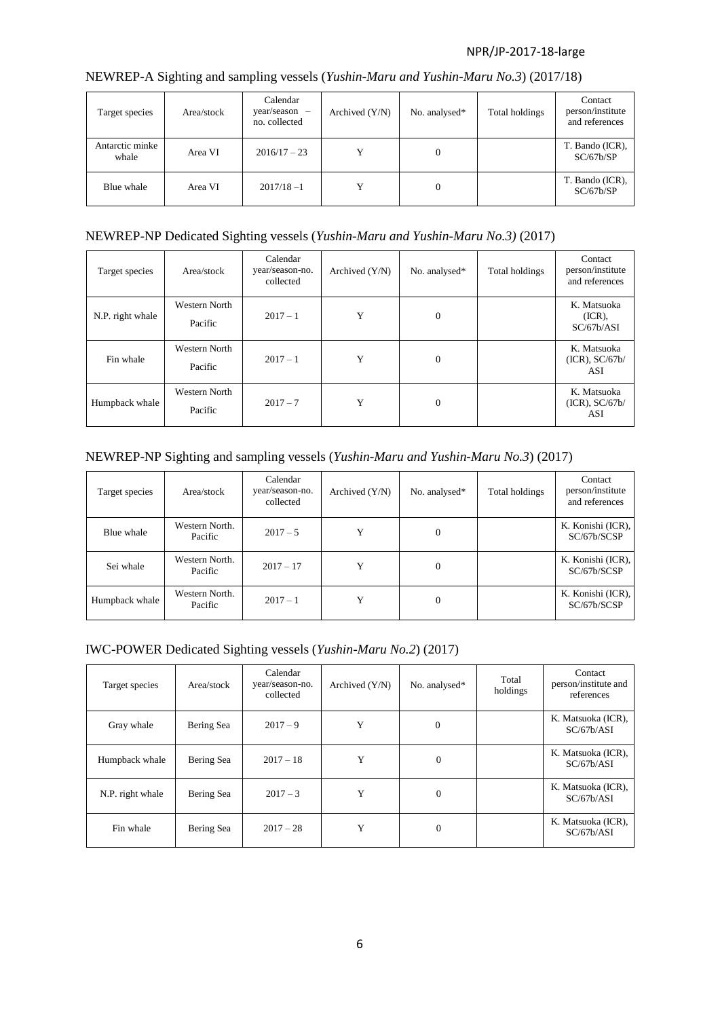| Target species           | Area/stock | Calendar<br>year/season<br>no. collected | Archived $(Y/N)$ | No. analysed* | Total holdings | Contact<br>person/institute<br>and references |
|--------------------------|------------|------------------------------------------|------------------|---------------|----------------|-----------------------------------------------|
| Antarctic minke<br>whale | Area VI    | $2016/17 - 23$                           |                  | $\mathbf{0}$  |                | T. Bando (ICR),<br>SC/67b/SP                  |
| Blue whale               | Area VI    | $2017/18 - 1$                            | v                | $\mathbf{0}$  |                | T. Bando (ICR),<br>SC/67b/SP                  |

## NEWREP-A Sighting and sampling vessels (*Yushin-Maru and Yushin-Maru No.3*) (2017/18)

## NEWREP-NP Dedicated Sighting vessels (*Yushin-Maru and Yushin-Maru No.3)* (2017)

| Target species   | Area/stock               | Calendar<br>year/season-no.<br>collected | Archived $(Y/N)$ | No. analysed*  | Total holdings | Contact<br>person/institute<br>and references |
|------------------|--------------------------|------------------------------------------|------------------|----------------|----------------|-----------------------------------------------|
| N.P. right whale | Western North<br>Pacific | $2017 - 1$                               | Y                | $\overline{0}$ |                | K. Matsuoka<br>$(ICR)$ ,<br>SC/67b/ASI        |
| Fin whale        | Western North<br>Pacific | $2017 - 1$                               | Y                | $\mathbf{0}$   |                | K. Matsuoka<br>$(ICR)$ , $SC/67b/$<br>ASI     |
| Humpback whale   | Western North<br>Pacific | $2017 - 7$                               | Y                | $\mathbf{0}$   |                | K. Matsuoka<br>$(ICR)$ , $SC/67b/$<br>ASI     |

## NEWREP-NP Sighting and sampling vessels (*Yushin-Maru and Yushin-Maru No.3*) (2017)

| Target species | Area/stock                | Calendar<br>year/season-no.<br>collected | Archived $(Y/N)$ | No. analysed* | Total holdings | Contact<br>person/institute<br>and references |
|----------------|---------------------------|------------------------------------------|------------------|---------------|----------------|-----------------------------------------------|
| Blue whale     | Western North.<br>Pacific | $2017 - 5$                               | Y                | 0             |                | K. Konishi (ICR),<br>SC/67b/SCSP              |
| Sei whale      | Western North.<br>Pacific | $2017 - 17$                              | Y                | $\mathbf{0}$  |                | K. Konishi (ICR),<br>SC/67b/SCSP              |
| Humpback whale | Western North.<br>Pacific | $2017 - 1$                               | Y                | 0             |                | K. Konishi (ICR),<br>SC/67b/SCSP              |

#### IWC-POWER Dedicated Sighting vessels (*Yushin-Maru No.2*) (2017)

| Target species   | Area/stock | Calendar<br>year/season-no.<br>collected | Archived $(Y/N)$ | No. analysed*    | Total<br>holdings | Contact<br>person/institute and<br>references |
|------------------|------------|------------------------------------------|------------------|------------------|-------------------|-----------------------------------------------|
| Gray whale       | Bering Sea | $2017 - 9$                               | Y                | $\theta$         |                   | K. Matsuoka (ICR),<br>SC/67b/ASI              |
| Humpback whale   | Bering Sea | $2017 - 18$                              | Y                | $\boldsymbol{0}$ |                   | K. Matsuoka (ICR),<br>SC/67b/ASI              |
| N.P. right whale | Bering Sea | $2017 - 3$                               | Y                | $\mathbf{0}$     |                   | K. Matsuoka (ICR),<br>SC/67b/ASI              |
| Fin whale        | Bering Sea | $2017 - 28$                              | Y                | $\mathbf{0}$     |                   | K. Matsuoka (ICR),<br>SC/67b/ASI              |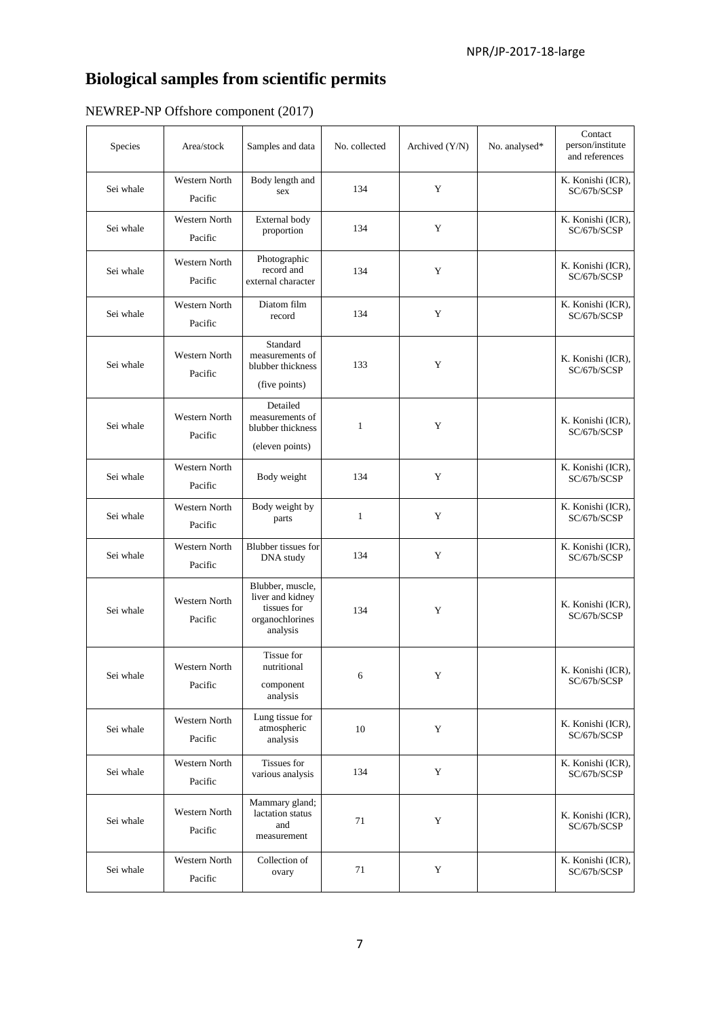# **Biological samples from scientific permits**

| Species   | Area/stock                      | Samples and data                                                                   | No. collected | Archived (Y/N) | No. analysed* | Contact<br>person/institute<br>and references |
|-----------|---------------------------------|------------------------------------------------------------------------------------|---------------|----------------|---------------|-----------------------------------------------|
| Sei whale | Western North<br>Pacific        | Body length and<br>sex                                                             | 134           | Y              |               | K. Konishi (ICR),<br>SC/67b/SCSP              |
| Sei whale | Western North<br>Pacific        | External body<br>proportion                                                        | 134           | Y              |               | K. Konishi (ICR),<br>SC/67b/SCSP              |
| Sei whale | <b>Western North</b><br>Pacific | Photographic<br>record and<br>external character                                   | 134           | Y              |               | K. Konishi (ICR),<br>SC/67b/SCSP              |
| Sei whale | Western North<br>Pacific        | Diatom film<br>record                                                              | 134           | Y              |               | K. Konishi (ICR),<br>SC/67b/SCSP              |
| Sei whale | <b>Western North</b><br>Pacific | Standard<br>measurements of<br>blubber thickness<br>(five points)                  | 133           | Y              |               | K. Konishi (ICR),<br>SC/67b/SCSP              |
| Sei whale | <b>Western North</b><br>Pacific | Detailed<br>measurements of<br>blubber thickness<br>(eleven points)                | 1             | Y              |               | K. Konishi (ICR),<br>SC/67b/SCSP              |
| Sei whale | <b>Western North</b><br>Pacific | Body weight                                                                        | 134           | Y              |               | K. Konishi (ICR),<br>SC/67b/SCSP              |
| Sei whale | <b>Western North</b><br>Pacific | Body weight by<br>parts                                                            | $\mathbf{1}$  | Y              |               | K. Konishi (ICR),<br>SC/67b/SCSP              |
| Sei whale | Western North<br>Pacific        | Blubber tissues for<br>DNA study                                                   | 134           | Y              |               | K. Konishi (ICR),<br>SC/67b/SCSP              |
| Sei whale | Western North<br>Pacific        | Blubber, muscle,<br>liver and kidney<br>tissues for<br>organochlorines<br>analysis | 134           | Y              |               | K. Konishi (ICR),<br>SC/67b/SCSP              |
| Sei whale | Western North<br>Pacific        | Tissue for<br>nutritional<br>component<br>analysis                                 | 6             | $\mathbf Y$    |               | K. Konishi (ICR),<br>SC/67b/SCSP              |
| Sei whale | Western North<br>Pacific        | Lung tissue for<br>atmospheric<br>analysis                                         | 10            | Y              |               | K. Konishi (ICR),<br>SC/67b/SCSP              |
| Sei whale | Western North<br>Pacific        | Tissues for<br>various analysis                                                    | 134           | Y              |               | K. Konishi (ICR),<br>SC/67b/SCSP              |
| Sei whale | Western North<br>Pacific        | Mammary gland;<br>lactation status<br>and<br>measurement                           | 71            | Y              |               | K. Konishi (ICR),<br>SC/67b/SCSP              |
| Sei whale | Western North<br>Pacific        | Collection of<br>ovary                                                             | 71            | $\mathbf Y$    |               | K. Konishi (ICR),<br>SC/67b/SCSP              |

## NEWREP-NP Offshore component (2017)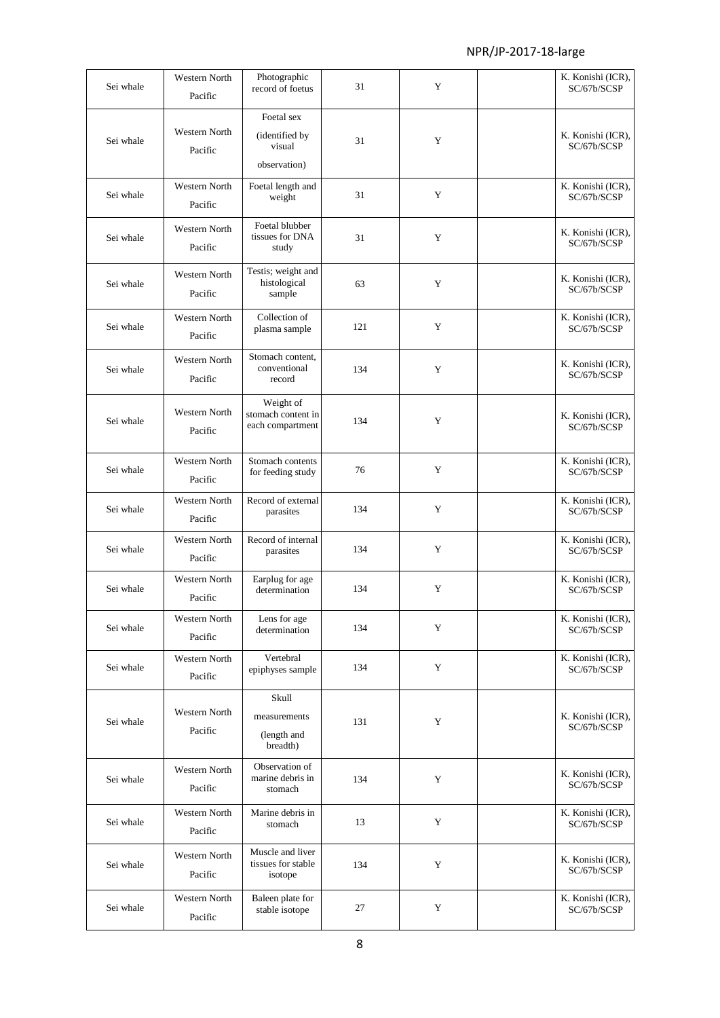| Sei whale | Western North<br>Pacific        | Photographic<br>record of foetus                        | 31  | Y | K. Konishi (ICR),<br>SC/67b/SCSP |
|-----------|---------------------------------|---------------------------------------------------------|-----|---|----------------------------------|
| Sei whale | <b>Western North</b><br>Pacific | Foetal sex<br>(identified by<br>visual<br>observation)  | 31  | Y | K. Konishi (ICR),<br>SC/67b/SCSP |
| Sei whale | <b>Western North</b><br>Pacific | Foetal length and<br>weight                             | 31  | Y | K. Konishi (ICR),<br>SC/67b/SCSP |
| Sei whale | <b>Western North</b><br>Pacific | Foetal blubber<br>tissues for DNA<br>study              | 31  | Y | K. Konishi (ICR),<br>SC/67b/SCSP |
| Sei whale | <b>Western North</b><br>Pacific | Testis; weight and<br>histological<br>sample            | 63  | Y | K. Konishi (ICR),<br>SC/67b/SCSP |
| Sei whale | Western North<br>Pacific        | Collection of<br>plasma sample                          | 121 | Y | K. Konishi (ICR),<br>SC/67b/SCSP |
| Sei whale | <b>Western North</b><br>Pacific | Stomach content,<br>conventional<br>record              | 134 | Y | K. Konishi (ICR),<br>SC/67b/SCSP |
| Sei whale | <b>Western North</b><br>Pacific | Weight of<br>stomach content in<br>each compartment     | 134 | Y | K. Konishi (ICR),<br>SC/67b/SCSP |
| Sei whale | Western North<br>Pacific        | Stomach contents<br>for feeding study                   | 76  | Y | K. Konishi (ICR),<br>SC/67b/SCSP |
| Sei whale | Western North<br>Pacific        | Record of external<br>parasites                         | 134 | Y | K. Konishi (ICR),<br>SC/67b/SCSP |
| Sei whale | Western North<br>Pacific        | Record of internal<br>parasites                         | 134 | Y | K. Konishi (ICR),<br>SC/67b/SCSP |
| Sei whale | <b>Western North</b><br>Pacific | Earplug for age<br>determination                        | 134 | Y | K. Konishi (ICR),<br>SC/67b/SCSP |
| Sei whale | Western North<br>Pacific        | Lens for age<br>determination                           | 134 | Y | K. Konishi (ICR),<br>SC/67b/SCSP |
| Sei whale | Western North<br>Pacific        | Vertebral<br>epiphyses sample                           | 134 | Y | K. Konishi (ICR),<br>SC/67b/SCSP |
| Sei whale | Western North<br>Pacific        | <b>Skull</b><br>measurements<br>(length and<br>breadth) | 131 | Y | K. Konishi (ICR),<br>SC/67b/SCSP |
| Sei whale | Western North<br>Pacific        | Observation of<br>marine debris in<br>stomach           | 134 | Y | K. Konishi (ICR),<br>SC/67b/SCSP |
| Sei whale | Western North<br>Pacific        | Marine debris in<br>stomach                             | 13  | Y | K. Konishi (ICR),<br>SC/67b/SCSP |
| Sei whale | Western North<br>Pacific        | Muscle and liver<br>tissues for stable<br>isotope       | 134 | Y | K. Konishi (ICR),<br>SC/67b/SCSP |
| Sei whale | Western North<br>Pacific        | Baleen plate for<br>stable isotope                      | 27  | Y | K. Konishi (ICR),<br>SC/67b/SCSP |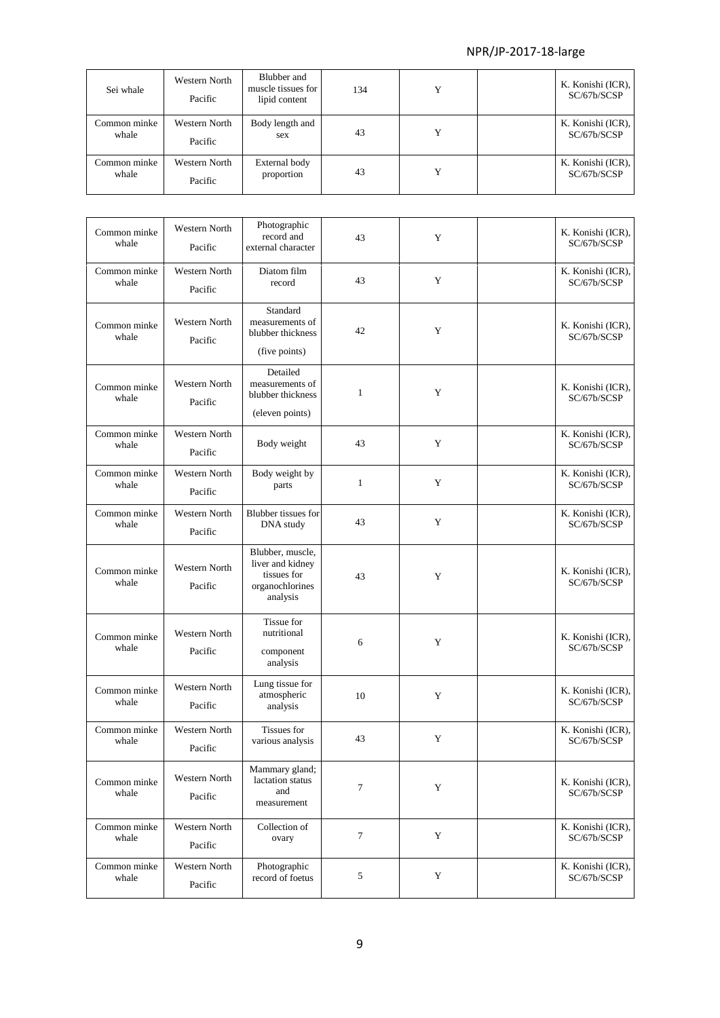| Sei whale             | Western North<br>Pacific | Blubber and<br>muscle tissues for<br>lipid content | 134 |  | K. Konishi (ICR),<br>SC/67b/SCSP |
|-----------------------|--------------------------|----------------------------------------------------|-----|--|----------------------------------|
| Common minke<br>whale | Western North<br>Pacific | Body length and<br>sex                             | 43  |  | K. Konishi (ICR),<br>SC/67b/SCSP |
| Common minke<br>whale | Western North<br>Pacific | External body<br>proportion                        | 43  |  | K. Konishi (ICR),<br>SC/67b/SCSP |

| Common minke<br>whale | Western North<br>Pacific        | Photographic<br>record and<br>external character                                   | 43               | Y | K. Konishi (ICR),<br>SC/67b/SCSP |
|-----------------------|---------------------------------|------------------------------------------------------------------------------------|------------------|---|----------------------------------|
| Common minke<br>whale | <b>Western North</b><br>Pacific | Diatom film<br>record                                                              | 43               | Y | K. Konishi (ICR),<br>SC/67b/SCSP |
| Common minke<br>whale | <b>Western North</b><br>Pacific | Standard<br>measurements of<br>blubber thickness<br>(five points)                  | 42               | Y | K. Konishi (ICR),<br>SC/67b/SCSP |
| Common minke<br>whale | <b>Western North</b><br>Pacific | Detailed<br>measurements of<br>blubber thickness<br>(eleven points)                | $\mathbf{1}$     | Y | K. Konishi (ICR),<br>SC/67b/SCSP |
| Common minke<br>whale | <b>Western North</b><br>Pacific | Body weight                                                                        | 43               | Y | K. Konishi (ICR),<br>SC/67b/SCSP |
| Common minke<br>whale | Western North<br>Pacific        | Body weight by<br>parts                                                            | $\mathbf{1}$     | Y | K. Konishi (ICR),<br>SC/67b/SCSP |
| Common minke<br>whale | Western North<br>Pacific        | <b>Blubber</b> tissues for<br>DNA study                                            | 43               | Y | K. Konishi (ICR),<br>SC/67b/SCSP |
| Common minke<br>whale | Western North<br>Pacific        | Blubber, muscle,<br>liver and kidney<br>tissues for<br>organochlorines<br>analysis | 43               | Y | K. Konishi (ICR),<br>SC/67b/SCSP |
| Common minke<br>whale | <b>Western North</b><br>Pacific | Tissue for<br>nutritional<br>component<br>analysis                                 | 6                | Y | K. Konishi (ICR),<br>SC/67b/SCSP |
| Common minke<br>whale | Western North<br>Pacific        | Lung tissue for<br>atmospheric<br>analysis                                         | 10               | Y | K. Konishi (ICR),<br>SC/67b/SCSP |
| Common minke<br>whale | Western North<br>Pacific        | Tissues for<br>various analysis                                                    | 43               | Y | K. Konishi (ICR),<br>SC/67b/SCSP |
| Common minke<br>whale | <b>Western North</b><br>Pacific | Mammary gland;<br>lactation status<br>and<br>measurement                           | $\tau$           | Y | K. Konishi (ICR),<br>SC/67b/SCSP |
| Common minke<br>whale | Western North<br>Pacific        | Collection of<br>ovary                                                             | $\boldsymbol{7}$ | Y | K. Konishi (ICR),<br>SC/67b/SCSP |
| Common minke<br>whale | Western North<br>Pacific        | Photographic<br>record of foetus                                                   | 5                | Y | K. Konishi (ICR),<br>SC/67b/SCSP |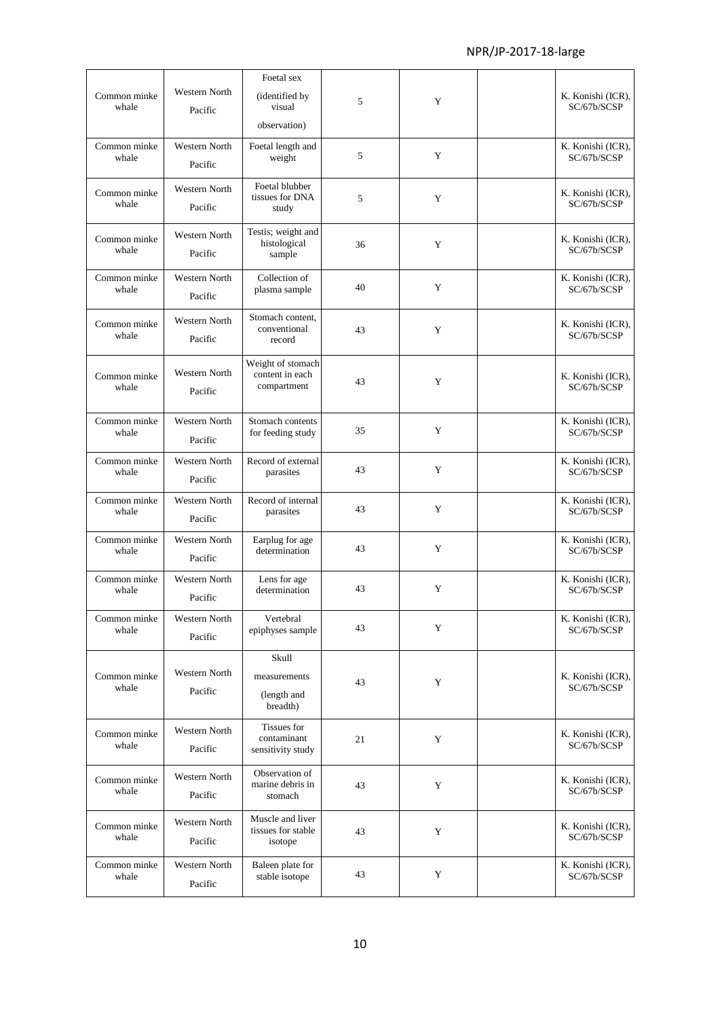|                       |                                 | Foetal sex                                          |    |   |                                  |
|-----------------------|---------------------------------|-----------------------------------------------------|----|---|----------------------------------|
| Common minke<br>whale | Western North<br>Pacific        | (identified by<br>visual<br>observation)            | 5  | Y | K. Konishi (ICR),<br>SC/67b/SCSP |
| Common minke<br>whale | <b>Western North</b><br>Pacific | Foetal length and<br>weight                         | 5  | Y | K. Konishi (ICR),<br>SC/67b/SCSP |
| Common minke<br>whale | <b>Western North</b><br>Pacific | Foetal blubber<br>tissues for DNA<br>study          | 5  | Y | K. Konishi (ICR),<br>SC/67b/SCSP |
| Common minke<br>whale | Western North<br>Pacific        | Testis; weight and<br>histological<br>sample        | 36 | Y | K. Konishi (ICR),<br>SC/67b/SCSP |
| Common minke<br>whale | <b>Western North</b><br>Pacific | Collection of<br>plasma sample                      | 40 | Y | K. Konishi (ICR),<br>SC/67b/SCSP |
| Common minke<br>whale | <b>Western North</b><br>Pacific | Stomach content,<br>conventional<br>record          | 43 | Y | K. Konishi (ICR),<br>SC/67b/SCSP |
| Common minke<br>whale | <b>Western North</b><br>Pacific | Weight of stomach<br>content in each<br>compartment | 43 | Y | K. Konishi (ICR),<br>SC/67b/SCSP |
| Common minke<br>whale | Western North<br>Pacific        | Stomach contents<br>for feeding study               | 35 | Y | K. Konishi (ICR),<br>SC/67b/SCSP |
| Common minke<br>whale | <b>Western North</b><br>Pacific | Record of external<br>parasites                     | 43 | Y | K. Konishi (ICR),<br>SC/67b/SCSP |
| Common minke<br>whale | Western North<br>Pacific        | Record of internal<br>parasites                     | 43 | Y | K. Konishi (ICR),<br>SC/67b/SCSP |
| Common minke<br>whale | <b>Western North</b><br>Pacific | Earplug for age<br>determination                    | 43 | Y | K. Konishi (ICR),<br>SC/67b/SCSP |
| Common minke<br>whale | <b>Western North</b><br>Pacific | Lens for age<br>determination                       | 43 | Y | K. Konishi (ICR),<br>SC/67b/SCSP |
| Common minke<br>whale | Western North<br>Pacific        | Vertebral<br>epiphyses sample                       | 43 | Y | K. Konishi (ICR),<br>SC/67b/SCSP |
| Common minke<br>whale | Western North<br>Pacific        | Skull<br>measurements<br>(length and<br>breadth)    | 43 | Y | K. Konishi (ICR),<br>SC/67b/SCSP |
| Common minke<br>whale | Western North<br>Pacific        | Tissues for<br>contaminant<br>sensitivity study     | 21 | Y | K. Konishi (ICR),<br>SC/67b/SCSP |
| Common minke<br>whale | Western North<br>Pacific        | Observation of<br>marine debris in<br>stomach       | 43 | Y | K. Konishi (ICR),<br>SC/67b/SCSP |
| Common minke<br>whale | Western North<br>Pacific        | Muscle and liver<br>tissues for stable<br>isotope   | 43 | Y | K. Konishi (ICR),<br>SC/67b/SCSP |
| Common minke<br>whale | Western North<br>Pacific        | Baleen plate for<br>stable isotope                  | 43 | Y | K. Konishi (ICR),<br>SC/67b/SCSP |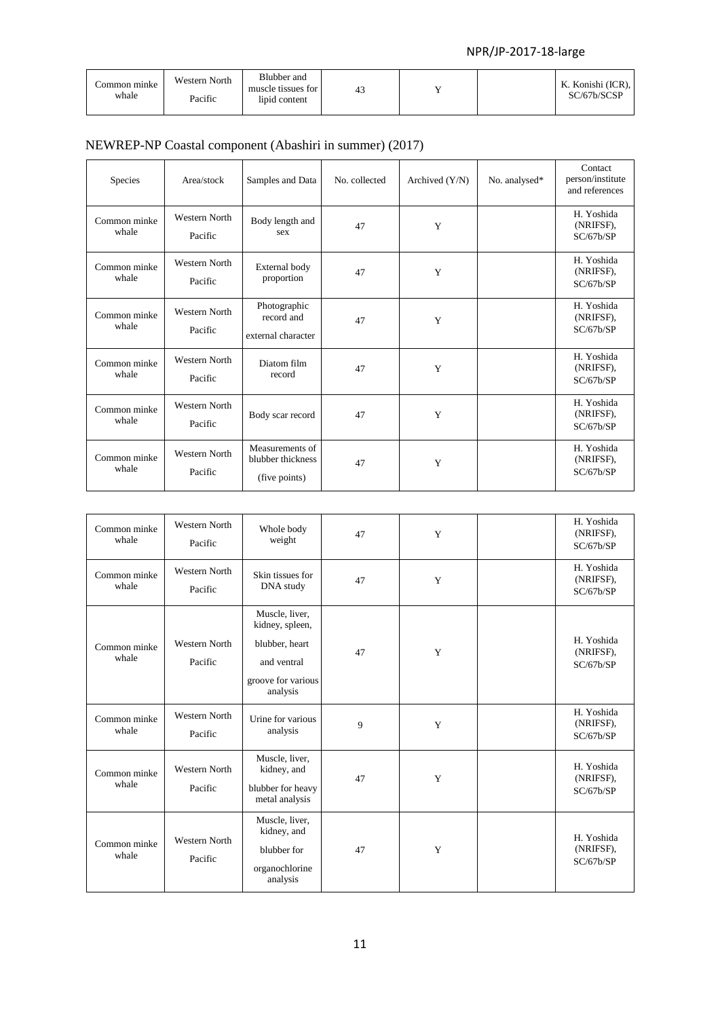| Common minke<br>whale | Western North<br>Pacific | Blubber and<br>muscle tissues for<br>lipid content | 43 |  | K. Konishi (ICR),<br>SC/67b/SCSP |
|-----------------------|--------------------------|----------------------------------------------------|----|--|----------------------------------|
|                       |                          |                                                    |    |  |                                  |

## NEWREP-NP Coastal component (Abashiri in summer) (2017)

| Species               | Area/stock                      | Samples and Data                                      | No. collected | Archived $(Y/N)$ | No. analysed* | Contact<br>person/institute<br>and references |
|-----------------------|---------------------------------|-------------------------------------------------------|---------------|------------------|---------------|-----------------------------------------------|
| Common minke<br>whale | <b>Western North</b><br>Pacific | Body length and<br>sex                                | 47            | Y                |               | H. Yoshida<br>(NRIFSF).<br>SC/67b/SP          |
| Common minke<br>whale | Western North<br>Pacific        | External body<br>proportion                           | 47            | Y                |               | H. Yoshida<br>(NRIFSF),<br>SC/67b/SP          |
| Common minke<br>whale | <b>Western North</b><br>Pacific | Photographic<br>record and<br>external character      | 47            | Y                |               | H. Yoshida<br>(NRIFSF),<br>SC/67b/SP          |
| Common minke<br>whale | Western North<br>Pacific        | Diatom film<br>record                                 | 47            | Y                |               | H. Yoshida<br>(NRIFSF),<br>SC/67b/SP          |
| Common minke<br>whale | Western North<br>Pacific        | Body scar record                                      | 47            | Y                |               | H. Yoshida<br>(NRIFSF),<br>SC/67b/SP          |
| Common minke<br>whale | <b>Western North</b><br>Pacific | Measurements of<br>blubber thickness<br>(five points) | 47            | Y                |               | H. Yoshida<br>(NRIFSF),<br>SC/67b/SP          |

| Common minke<br>whale | Western North<br>Pacific | Whole body<br>weight                                                                                 | 47 | Y | H. Yoshida<br>(NRIFSF),<br>SC/67b/SP |
|-----------------------|--------------------------|------------------------------------------------------------------------------------------------------|----|---|--------------------------------------|
| Common minke<br>whale | Western North<br>Pacific | Skin tissues for<br>DNA study                                                                        | 47 | Y | H. Yoshida<br>(NRIFSF),<br>SC/67b/SP |
| Common minke<br>whale | Western North<br>Pacific | Muscle, liver,<br>kidney, spleen,<br>blubber, heart<br>and ventral<br>groove for various<br>analysis | 47 | Y | H. Yoshida<br>(NRIFSF),<br>SC/67b/SP |
| Common minke<br>whale | Western North<br>Pacific | Urine for various<br>analysis                                                                        | 9  | Y | H. Yoshida<br>(NRIFSF),<br>SC/67b/SP |
| Common minke<br>whale | Western North<br>Pacific | Muscle, liver,<br>kidney, and<br>blubber for heavy<br>metal analysis                                 | 47 | Y | H. Yoshida<br>(NRIFSF),<br>SC/67b/SP |
| Common minke<br>whale | Western North<br>Pacific | Muscle, liver,<br>kidney, and<br>blubber for<br>organochlorine<br>analysis                           | 47 | Y | H. Yoshida<br>(NRIFSF),<br>SC/67b/SP |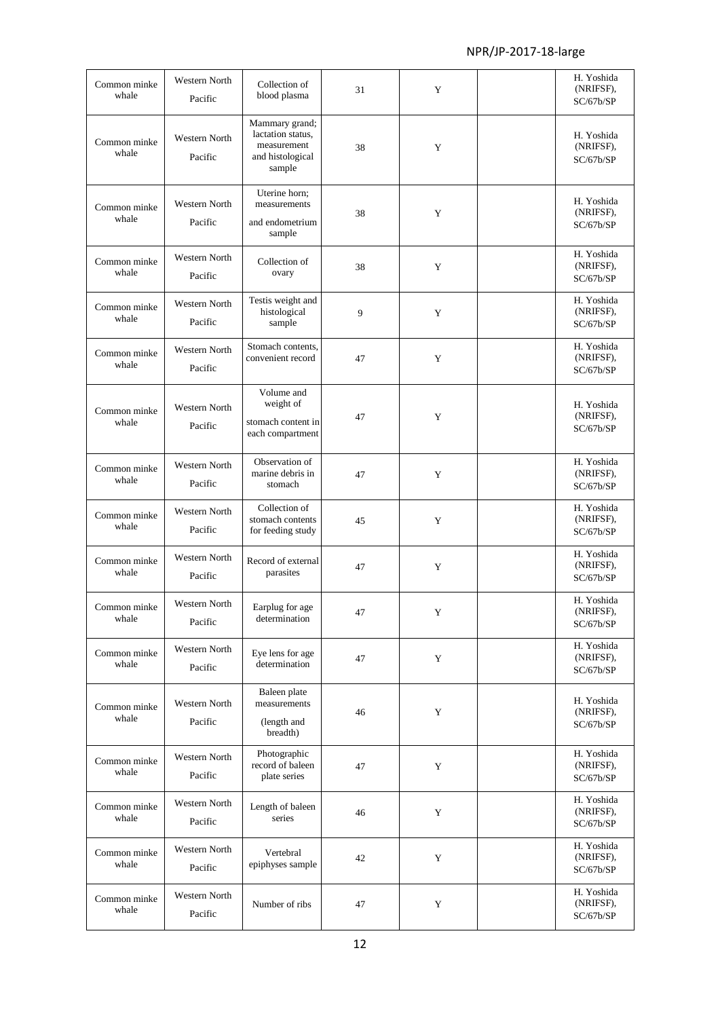| Common minke          | <b>Western North</b>            | Collection of                                                                    |    |             | H. Yoshida<br>(NRIFSF),              |
|-----------------------|---------------------------------|----------------------------------------------------------------------------------|----|-------------|--------------------------------------|
| whale                 | Pacific                         | blood plasma                                                                     | 31 | Y           | SC/67b/SP                            |
| Common minke<br>whale | Western North<br>Pacific        | Mammary grand;<br>lactation status.<br>measurement<br>and histological<br>sample | 38 | Y           | H. Yoshida<br>(NRIFSF),<br>SC/67b/SP |
| Common minke<br>whale | Western North<br>Pacific        | Uterine horn;<br>measurements<br>and endometrium<br>sample                       | 38 | Y           | H. Yoshida<br>(NRIFSF),<br>SC/67b/SP |
| Common minke<br>whale | Western North<br>Pacific        | Collection of<br>ovary                                                           | 38 | Y           | H. Yoshida<br>(NRIFSF),<br>SC/67b/SP |
| Common minke<br>whale | <b>Western North</b><br>Pacific | Testis weight and<br>histological<br>sample                                      | 9  | Y           | H. Yoshida<br>(NRIFSF),<br>SC/67b/SP |
| Common minke<br>whale | Western North<br>Pacific        | Stomach contents,<br>convenient record                                           | 47 | Y           | H. Yoshida<br>(NRIFSF),<br>SC/67b/SP |
| Common minke<br>whale | Western North<br>Pacific        | Volume and<br>weight of<br>stomach content in<br>each compartment                | 47 | Y           | H. Yoshida<br>(NRIFSF),<br>SC/67b/SP |
| Common minke<br>whale | Western North<br>Pacific        | Observation of<br>marine debris in<br>stomach                                    | 47 | Y           | H. Yoshida<br>(NRIFSF),<br>SC/67b/SP |
| Common minke<br>whale | Western North<br>Pacific        | Collection of<br>stomach contents<br>for feeding study                           | 45 | Y           | H. Yoshida<br>(NRIFSF),<br>SC/67b/SP |
| Common minke<br>whale | <b>Western North</b><br>Pacific | Record of external<br>parasites                                                  | 47 | Y           | H. Yoshida<br>(NRIFSF),<br>SC/67b/SP |
| Common minke<br>whale | Western North<br>Pacific        | Earplug for age<br>determination                                                 | 47 | Y           | H. Yoshida<br>(NRIFSF),<br>SC/67b/SP |
| Common minke<br>whale | Western North<br>Pacific        | Eye lens for age<br>determination                                                | 47 | $\mathbf Y$ | H. Yoshida<br>(NRIFSF),<br>SC/67b/SP |
| Common minke<br>whale | Western North<br>Pacific        | Baleen plate<br>measurements<br>(length and<br>breadth)                          | 46 | Y           | H. Yoshida<br>(NRIFSF),<br>SC/67b/SP |
| Common minke<br>whale | Western North<br>Pacific        | Photographic<br>record of baleen<br>plate series                                 | 47 | Y           | H. Yoshida<br>(NRIFSF),<br>SC/67b/SP |
| Common minke<br>whale | Western North<br>Pacific        | Length of baleen<br>series                                                       | 46 | Y           | H. Yoshida<br>(NRIFSF),<br>SC/67b/SP |
| Common minke<br>whale | Western North<br>Pacific        | Vertebral<br>epiphyses sample                                                    | 42 | Y           | H. Yoshida<br>(NRIFSF),<br>SC/67b/SP |
| Common minke<br>whale | Western North<br>Pacific        | Number of ribs                                                                   | 47 | $\mathbf Y$ | H. Yoshida<br>(NRIFSF),<br>SC/67b/SP |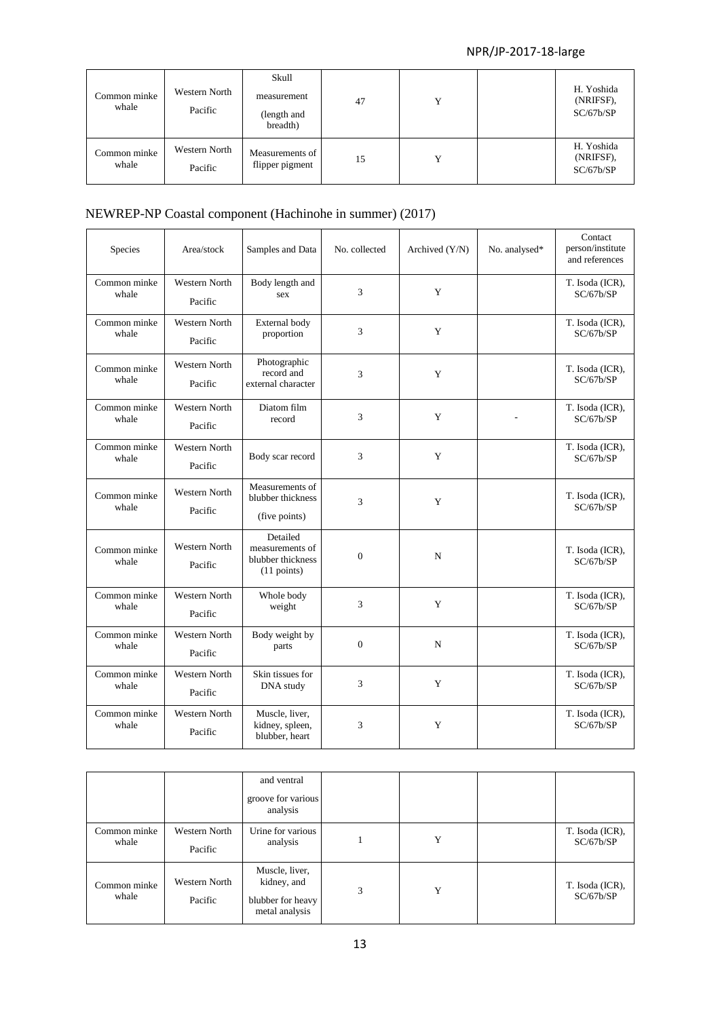| Common minke<br>whale | Western North<br>Pacific | Skull<br>measurement<br>(length and<br>breadth) | 47 | Y | H. Yoshida<br>(NRIFSF),<br>SC/67b/SP |
|-----------------------|--------------------------|-------------------------------------------------|----|---|--------------------------------------|
| Common minke<br>whale | Western North<br>Pacific | Measurements of<br>flipper pigment              | 15 | Y | H. Yoshida<br>(NRIFSF),<br>SC/67b/SP |

## NEWREP-NP Coastal component (Hachinohe in summer) (2017)

| Species               | Area/stock                      | Samples and Data                                                | No. collected  | Archived (Y/N) | No. analysed* | Contact<br>person/institute<br>and references |
|-----------------------|---------------------------------|-----------------------------------------------------------------|----------------|----------------|---------------|-----------------------------------------------|
| Common minke<br>whale | Western North<br>Pacific        | Body length and<br>sex                                          | 3              | Y              |               | T. Isoda (ICR),<br>SC/67b/SP                  |
| Common minke<br>whale | <b>Western North</b><br>Pacific | External body<br>proportion                                     | 3              | Y              |               | T. Isoda (ICR),<br>SC/67b/SP                  |
| Common minke<br>whale | <b>Western North</b><br>Pacific | Photographic<br>record and<br>external character                | 3              | Y              |               | T. Isoda (ICR),<br>SC/67b/SP                  |
| Common minke<br>whale | <b>Western North</b><br>Pacific | Diatom film<br>record                                           | 3              | Y              |               | T. Isoda (ICR),<br>SC/67b/SP                  |
| Common minke<br>whale | <b>Western North</b><br>Pacific | Body scar record                                                | 3              | Y              |               | T. Isoda (ICR),<br>SC/67b/SP                  |
| Common minke<br>whale | <b>Western North</b><br>Pacific | Measurements of<br>blubber thickness<br>(five points)           | 3              | Y              |               | T. Isoda (ICR),<br>SC/67b/SP                  |
| Common minke<br>whale | Western North<br>Pacific        | Detailed<br>measurements of<br>blubber thickness<br>(11 points) | $\overline{0}$ | N              |               | T. Isoda (ICR),<br>SC/67b/SP                  |
| Common minke<br>whale | <b>Western North</b><br>Pacific | Whole body<br>weight                                            | 3              | Y              |               | T. Isoda (ICR),<br>SC/67b/SP                  |
| Common minke<br>whale | <b>Western North</b><br>Pacific | Body weight by<br>parts                                         | $\overline{0}$ | N              |               | T. Isoda (ICR),<br>SC/67b/SP                  |
| Common minke<br>whale | <b>Western North</b><br>Pacific | Skin tissues for<br>DNA study                                   | 3              | Y              |               | T. Isoda (ICR),<br>SC/67b/SP                  |
| Common minke<br>whale | Western North<br>Pacific        | Muscle, liver,<br>kidney, spleen,<br>blubber, heart             | 3              | Y              |               | T. Isoda (ICR),<br>SC/67b/SP                  |

|                       |                          | and ventral<br>groove for various<br>analysis                        |   |   |                              |
|-----------------------|--------------------------|----------------------------------------------------------------------|---|---|------------------------------|
| Common minke<br>whale | Western North<br>Pacific | Urine for various<br>analysis                                        |   | Y | T. Isoda (ICR),<br>SC/67b/SP |
| Common minke<br>whale | Western North<br>Pacific | Muscle, liver,<br>kidney, and<br>blubber for heavy<br>metal analysis | 3 | Y | T. Isoda (ICR),<br>SC/67b/SP |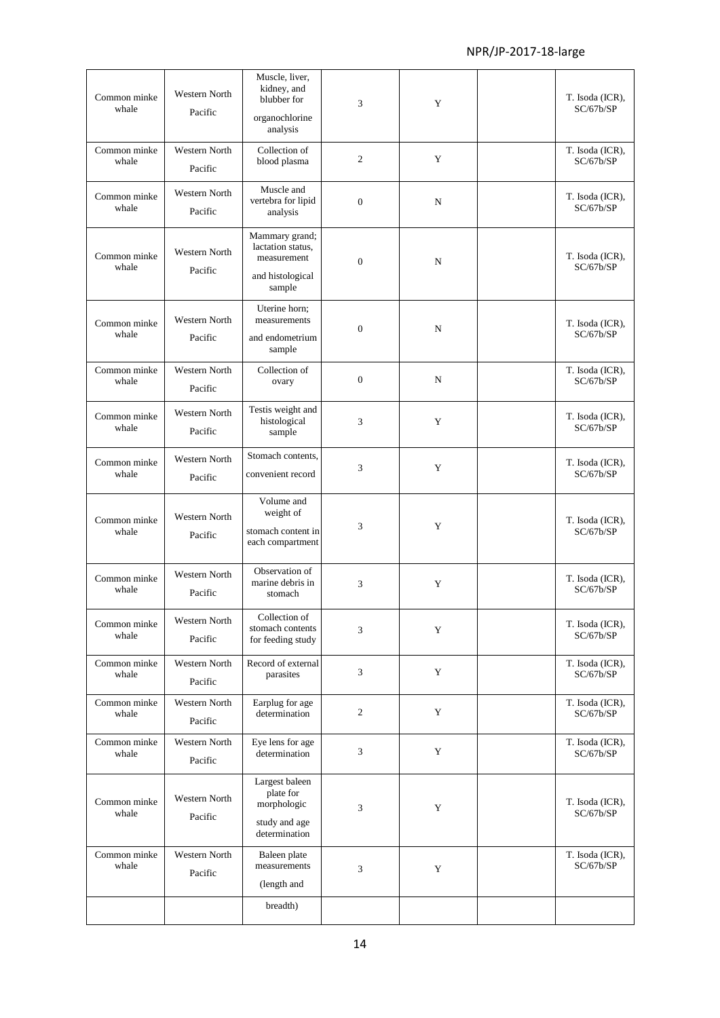| Common minke<br>whale | Western North<br>Pacific        | Muscle, liver,<br>kidney, and<br>blubber for<br>organochlorine<br>analysis       | 3              | Y | T. Isoda (ICR),<br>SC/67b/SP |
|-----------------------|---------------------------------|----------------------------------------------------------------------------------|----------------|---|------------------------------|
| Common minke<br>whale | Western North<br>Pacific        | Collection of<br>blood plasma                                                    | 2              | Y | T. Isoda (ICR),<br>SC/67b/SP |
| Common minke<br>whale | Western North<br>Pacific        | Muscle and<br>vertebra for lipid<br>analysis                                     | $\overline{0}$ | N | T. Isoda (ICR),<br>SC/67b/SP |
| Common minke<br>whale | Western North<br>Pacific        | Mammary grand;<br>lactation status,<br>measurement<br>and histological<br>sample | $\mathbf{0}$   | N | T. Isoda (ICR),<br>SC/67b/SP |
| Common minke<br>whale | <b>Western North</b><br>Pacific | Uterine horn;<br>measurements<br>and endometrium<br>sample                       | $\overline{0}$ | N | T. Isoda (ICR),<br>SC/67b/SP |
| Common minke<br>whale | Western North<br>Pacific        | Collection of<br>ovary                                                           | $\mathbf{0}$   | N | T. Isoda (ICR),<br>SC/67b/SP |
| Common minke<br>whale | Western North<br>Pacific        | Testis weight and<br>histological<br>sample                                      | 3              | Y | T. Isoda (ICR),<br>SC/67b/SP |
| Common minke<br>whale | Western North<br>Pacific        | Stomach contents,<br>convenient record                                           | 3              | Y | T. Isoda (ICR),<br>SC/67b/SP |
| Common minke<br>whale | <b>Western North</b><br>Pacific | Volume and<br>weight of<br>stomach content in<br>each compartment                | 3              | Y | T. Isoda (ICR),<br>SC/67b/SP |
| Common minke<br>whale | <b>Western North</b><br>Pacific | Observation of<br>marine debris in<br>stomach                                    | 3              | Y | T. Isoda (ICR),<br>SC/67b/SP |
| Common minke<br>whale | Western North<br>Pacific        | Collection of<br>stomach contents<br>for feeding study                           | 3              | Y | T. Isoda (ICR),<br>SC/67b/SP |
| Common minke<br>whale | Western North<br>Pacific        | Record of external<br>parasites                                                  | 3              | Y | T. Isoda (ICR),<br>SC/67b/SP |
| Common minke<br>whale | Western North<br>Pacific        | Earplug for age<br>determination                                                 | $\mathfrak{2}$ | Y | T. Isoda (ICR),<br>SC/67b/SP |
| Common minke<br>whale | Western North<br>Pacific        | Eye lens for age<br>determination                                                | 3              | Y | T. Isoda (ICR),<br>SC/67b/SP |
| Common minke<br>whale | Western North<br>Pacific        | Largest baleen<br>plate for<br>morphologic<br>study and age<br>determination     | 3              | Y | T. Isoda (ICR),<br>SC/67b/SP |
| Common minke<br>whale | Western North<br>Pacific        | Baleen plate<br>measurements<br>(length and                                      | 3              | Y | T. Isoda (ICR),<br>SC/67b/SP |
|                       |                                 | breadth)                                                                         |                |   |                              |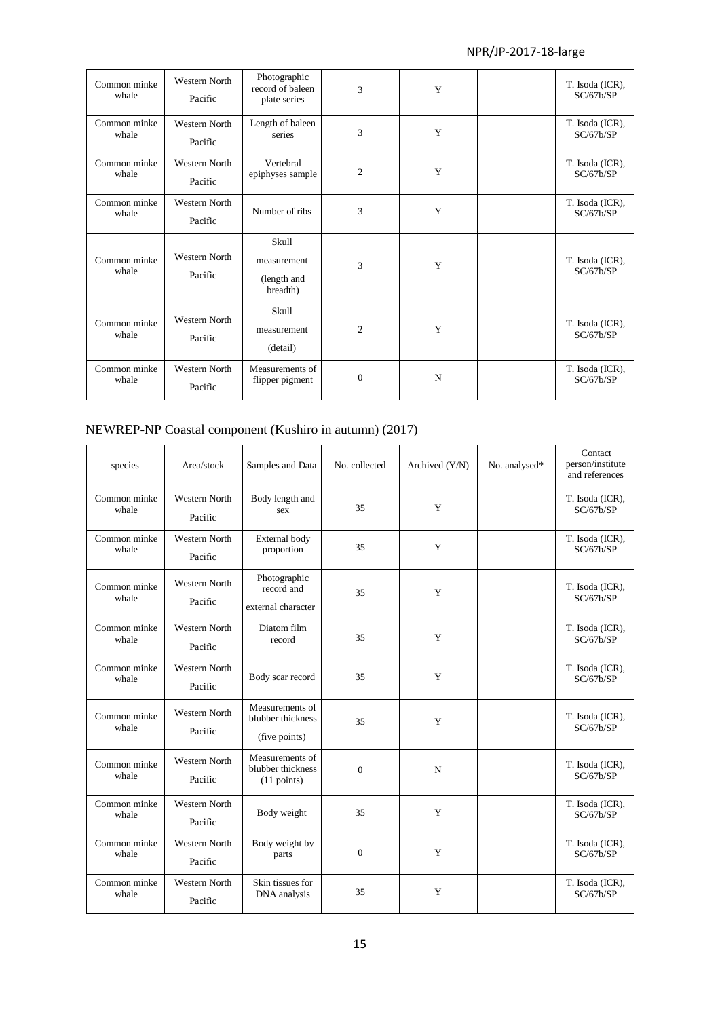| Common minke<br>whale | <b>Western North</b><br>Pacific | Photographic<br>record of baleen<br>plate series | 3              | Y | T. Isoda (ICR),<br>SC/67b/SP |
|-----------------------|---------------------------------|--------------------------------------------------|----------------|---|------------------------------|
| Common minke<br>whale | <b>Western North</b><br>Pacific | Length of baleen<br>series                       | 3              | Y | T. Isoda (ICR),<br>SC/67b/SP |
| Common minke<br>whale | <b>Western North</b><br>Pacific | Vertebral<br>epiphyses sample                    | $\overline{c}$ | Y | T. Isoda (ICR),<br>SC/67b/SP |
| Common minke<br>whale | Western North<br>Pacific        | Number of ribs                                   | 3              | Y | T. Isoda (ICR),<br>SC/67b/SP |
| Common minke<br>whale | Western North<br>Pacific        | Skull<br>measurement<br>(length and<br>breadth)  | 3              | Y | T. Isoda (ICR),<br>SC/67b/SP |
| Common minke<br>whale | Western North<br>Pacific        | Skull<br>measurement<br>(detail)                 | $\overline{2}$ | Y | T. Isoda (ICR),<br>SC/67b/SP |
| Common minke<br>whale | Western North<br>Pacific        | Measurements of<br>flipper pigment               | $\overline{0}$ | N | T. Isoda (ICR),<br>SC/67b/SP |

## NEWREP-NP Coastal component (Kushiro in autumn) (2017)

| species               | Area/stock                      | Samples and Data                                              | No. collected | Archived (Y/N) | No. analysed* | Contact<br>person/institute<br>and references |
|-----------------------|---------------------------------|---------------------------------------------------------------|---------------|----------------|---------------|-----------------------------------------------|
| Common minke<br>whale | Western North<br>Pacific        | Body length and<br>sex                                        | 35            | Y              |               | T. Isoda (ICR),<br>SC/67b/SP                  |
| Common minke<br>whale | <b>Western North</b><br>Pacific | External body<br>proportion                                   | 35            | Y              |               | T. Isoda (ICR),<br>SC/67b/SP                  |
| Common minke<br>whale | Western North<br>Pacific        | Photographic<br>record and<br>external character              | 35            | Y              |               | T. Isoda (ICR),<br>SC/67b/SP                  |
| Common minke<br>whale | <b>Western North</b><br>Pacific | Diatom film<br>record                                         | 35            | Y              |               | T. Isoda (ICR),<br>SC/67b/SP                  |
| Common minke<br>whale | <b>Western North</b><br>Pacific | Body scar record                                              | 35            | Y              |               | T. Isoda (ICR),<br>SC/67b/SP                  |
| Common minke<br>whale | Western North<br>Pacific        | Measurements of<br>blubber thickness<br>(five points)         | 35            | Y              |               | T. Isoda (ICR),<br>SC/67b/SP                  |
| Common minke<br>whale | Western North<br>Pacific        | Measurements of<br>blubber thickness<br>$(11 \text{ points})$ | $\mathbf{0}$  | N              |               | T. Isoda (ICR),<br>SC/67b/SP                  |
| Common minke<br>whale | Western North<br>Pacific        | Body weight                                                   | 35            | Y              |               | T. Isoda (ICR),<br>SC/67b/SP                  |
| Common minke<br>whale | Western North<br>Pacific        | Body weight by<br>parts                                       | $\mathbf{0}$  | Y              |               | T. Isoda (ICR),<br>SC/67b/SP                  |
| Common minke<br>whale | <b>Western North</b><br>Pacific | Skin tissues for<br>DNA analysis                              | 35            | Y              |               | T. Isoda (ICR),<br>SC/67b/SP                  |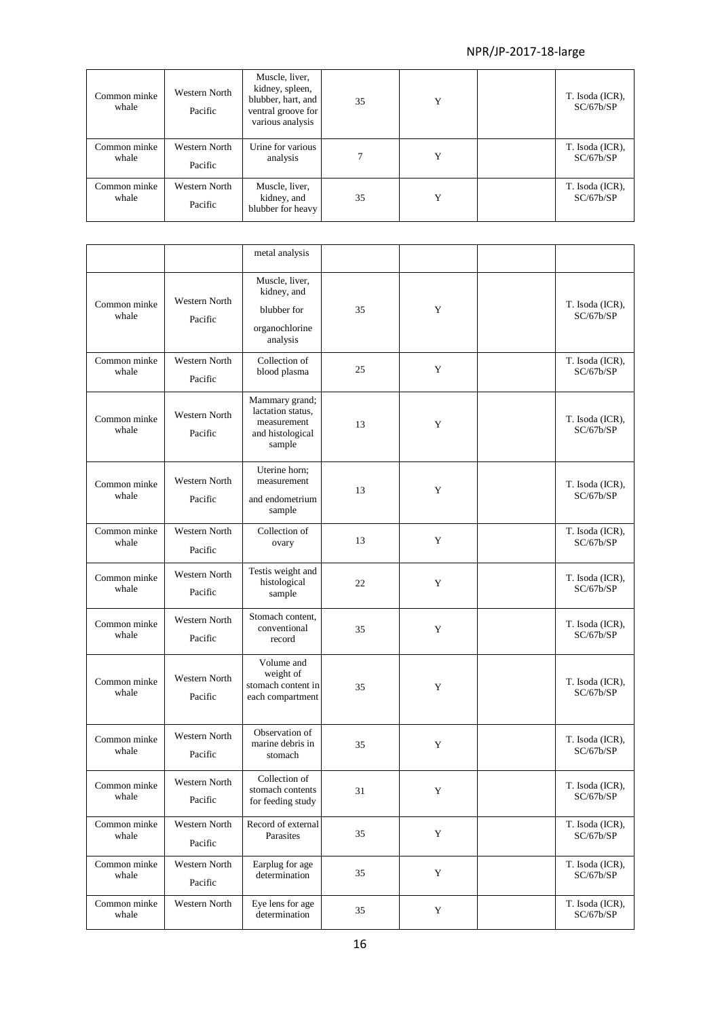| Common minke<br>whale | Western North<br>Pacific | Muscle, liver,<br>kidney, spleen,<br>blubber, hart, and<br>ventral groove for<br>various analysis | 35 | Y | T. Isoda (ICR),<br>SC/67b/SP |
|-----------------------|--------------------------|---------------------------------------------------------------------------------------------------|----|---|------------------------------|
| Common minke<br>whale | Western North<br>Pacific | Urine for various<br>analysis                                                                     |    | Y | T. Isoda (ICR),<br>SC/67b/SP |
| Common minke<br>whale | Western North<br>Pacific | Muscle, liver,<br>kidney, and<br>blubber for heavy                                                | 35 | Y | T. Isoda (ICR),<br>SC/67b/SP |

|                       |                                 | metal analysis                                                                   |    |             |                              |
|-----------------------|---------------------------------|----------------------------------------------------------------------------------|----|-------------|------------------------------|
| Common minke<br>whale | Western North<br>Pacific        | Muscle, liver,<br>kidney, and<br>blubber for<br>organochlorine<br>analysis       | 35 | Y           | T. Isoda (ICR),<br>SC/67b/SP |
| Common minke<br>whale | Western North<br>Pacific        | Collection of<br>blood plasma                                                    | 25 | Y           | T. Isoda (ICR),<br>SC/67b/SP |
| Common minke<br>whale | Western North<br>Pacific        | Mammary grand;<br>lactation status,<br>measurement<br>and histological<br>sample | 13 | Y           | T. Isoda (ICR),<br>SC/67b/SP |
| Common minke<br>whale | Western North<br>Pacific        | Uterine horn;<br>measurement<br>and endometrium<br>sample                        | 13 | Y           | T. Isoda (ICR),<br>SC/67b/SP |
| Common minke<br>whale | <b>Western North</b><br>Pacific | Collection of<br>ovary                                                           | 13 | Y           | T. Isoda (ICR),<br>SC/67b/SP |
| Common minke<br>whale | Western North<br>Pacific        | Testis weight and<br>histological<br>sample                                      | 22 | Y           | T. Isoda (ICR),<br>SC/67b/SP |
| Common minke<br>whale | <b>Western North</b><br>Pacific | Stomach content,<br>conventional<br>record                                       | 35 | Y           | T. Isoda (ICR),<br>SC/67b/SP |
| Common minke<br>whale | <b>Western North</b><br>Pacific | Volume and<br>weight of<br>stomach content in<br>each compartment                | 35 | Y           | T. Isoda (ICR),<br>SC/67b/SP |
| Common minke<br>whale | <b>Western North</b><br>Pacific | Observation of<br>marine debris in<br>stomach                                    | 35 | Y           | T. Isoda (ICR),<br>SC/67b/SP |
| Common minke<br>whale | Western North<br>Pacific        | Collection of<br>stomach contents<br>for feeding study                           | 31 | Y           | T. Isoda (ICR),<br>SC/67b/SP |
| Common minke<br>whale | Western North<br>Pacific        | Record of external<br>Parasites                                                  | 35 | Y           | T. Isoda (ICR),<br>SC/67b/SP |
| Common minke<br>whale | Western North<br>Pacific        | Earplug for age<br>determination                                                 | 35 | $\mathbf Y$ | T. Isoda (ICR),<br>SC/67b/SP |
| Common minke<br>whale | Western North                   | Eye lens for age<br>determination                                                | 35 | $\mathbf Y$ | T. Isoda (ICR),<br>SC/67b/SP |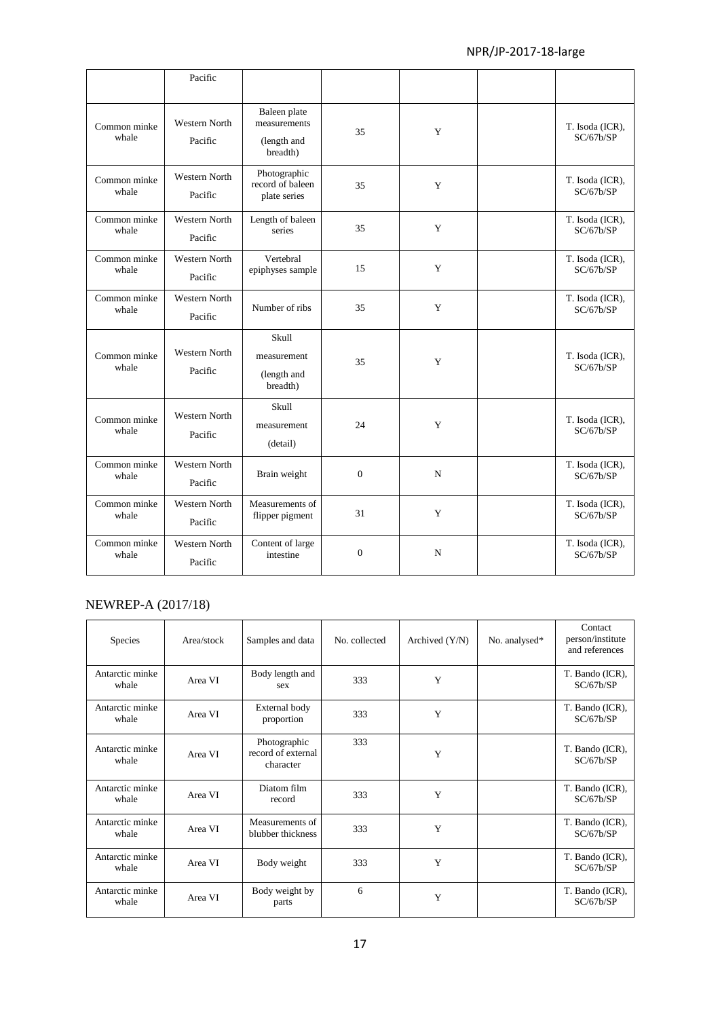|                       | Pacific                         |                                                         |              |             |                              |
|-----------------------|---------------------------------|---------------------------------------------------------|--------------|-------------|------------------------------|
| Common minke<br>whale | <b>Western North</b><br>Pacific | Baleen plate<br>measurements<br>(length and<br>breadth) | 35           | Y           | T. Isoda (ICR),<br>SC/67b/SP |
| Common minke<br>whale | Western North<br>Pacific        | Photographic<br>record of baleen<br>plate series        | 35           | Y           | T. Isoda (ICR),<br>SC/67b/SP |
| Common minke<br>whale | <b>Western North</b><br>Pacific | Length of baleen<br>series                              | 35           | Y           | T. Isoda (ICR),<br>SC/67b/SP |
| Common minke<br>whale | <b>Western North</b><br>Pacific | Vertebral<br>epiphyses sample                           | 15           | Y           | T. Isoda (ICR),<br>SC/67b/SP |
| Common minke<br>whale | <b>Western North</b><br>Pacific | Number of ribs                                          | 35           | Y           | T. Isoda (ICR),<br>SC/67b/SP |
| Common minke<br>whale | <b>Western North</b><br>Pacific | Skull<br>measurement<br>(length and<br>breadth)         | 35           | Y           | T. Isoda (ICR),<br>SC/67b/SP |
| Common minke<br>whale | <b>Western North</b><br>Pacific | Skull<br>measurement<br>(detail)                        | 24           | $\mathbf Y$ | T. Isoda (ICR),<br>SC/67b/SP |
| Common minke<br>whale | Western North<br>Pacific        | Brain weight                                            | $\mathbf{0}$ | N           | T. Isoda (ICR),<br>SC/67b/SP |
| Common minke<br>whale | Western North<br>Pacific        | Measurements of<br>flipper pigment                      | 31           | Y           | T. Isoda (ICR),<br>SC/67b/SP |
| Common minke<br>whale | <b>Western North</b><br>Pacific | Content of large<br>intestine                           | $\mathbf{0}$ | N           | T. Isoda (ICR),<br>SC/67b/SP |

#### NEWREP-A (2017/18)

| <b>Species</b>           | Area/stock | Samples and data                                | No. collected | Archived $(Y/N)$ | No. analysed* | Contact<br>person/institute<br>and references |
|--------------------------|------------|-------------------------------------------------|---------------|------------------|---------------|-----------------------------------------------|
| Antarctic minke<br>whale | Area VI    | Body length and<br>sex                          | 333           | Y                |               | T. Bando (ICR),<br>SC/67b/SP                  |
| Antarctic minke<br>whale | Area VI    | External body<br>proportion                     | 333           | Y                |               | T. Bando (ICR),<br>SC/67b/SP                  |
| Antarctic minke<br>whale | Area VI    | Photographic<br>record of external<br>character | 333           | Y                |               | T. Bando (ICR),<br>SC/67b/SP                  |
| Antarctic minke<br>whale | Area VI    | Diatom film<br>record                           | 333           | Y                |               | T. Bando (ICR),<br>SC/67b/SP                  |
| Antarctic minke<br>whale | Area VI    | Measurements of<br>blubber thickness            | 333           | Y                |               | T. Bando (ICR),<br>SC/67b/SP                  |
| Antarctic minke<br>whale | Area VI    | Body weight                                     | 333           | Y                |               | T. Bando (ICR),<br>SC/67b/SP                  |
| Antarctic minke<br>whale | Area VI    | Body weight by<br>parts                         | 6             | Y                |               | T. Bando (ICR),<br>SC/67b/SP                  |